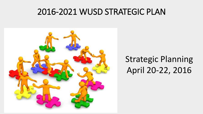## 2016-2021 WUSD STRATEGIC PLAN



# Strategic Planning April 20-22, 2016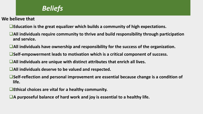## Beliefs *Beliefs*

#### **We believe that**

- **Education is the great equalizer which builds a community of high expectations.**
- ■All individuals require community to thrive and build responsibility through participation **and service.**
- **All individuals have ownership and responsibility for the success of the organization.**
- **Self-empowerment leads to motivation which is a critical component of success.**
- **All individuals are unique with distinct attributes that enrich all lives.**
- **All individuals deserve to be valued and respected.**
- **Self-reflection and personal improvement are essential because change is a condition of life.**
- **Ethical choices are vital for a healthy community.**
- **A purposeful balance of hard work and joy is essential to a healthy life.**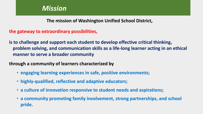#### Mission *Mission*

**The mission of Washington Unified School District,**

**the gateway to extraordinary possibilities,**

**is to challenge and support each student to develop effective critical thinking, problem solving, and communication skills as a life-long learner acting in an ethical manner to serve a broader community**

**through a community of learners characterized by**

- **engaging learning experiences in safe, positive environments;**
- **highly-qualified, reflective and adaptive educators;**
- **a culture of innovation responsive to student needs and aspirations;**
- **a community promoting family involvement, strong partnerships, and school pride.**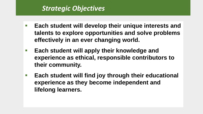#### Strategic Objectives *Strategic Objectives*

- **Each student will develop their unique interests and talents to explore opportunities and solve problems effectively in an ever changing world.**
- **Each student will apply their knowledge and experience as ethical, responsible contributors to their community.**
- **Each student will find joy through their educational experience as they become independent and lifelong learners.**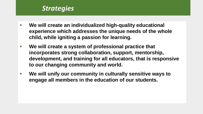### **Strategies**

- **We will create an individualized high-quality educational experience which addresses the unique needs of the whole child, while igniting a passion for learning.**
- We will create a system of professional practice that **incorporates strong collaboration, support, mentorship, development, and training for all educators, that is responsive to our changing community and world.**
- We will unify our community in culturally sensitive ways to **engage all members in the education of our students.**